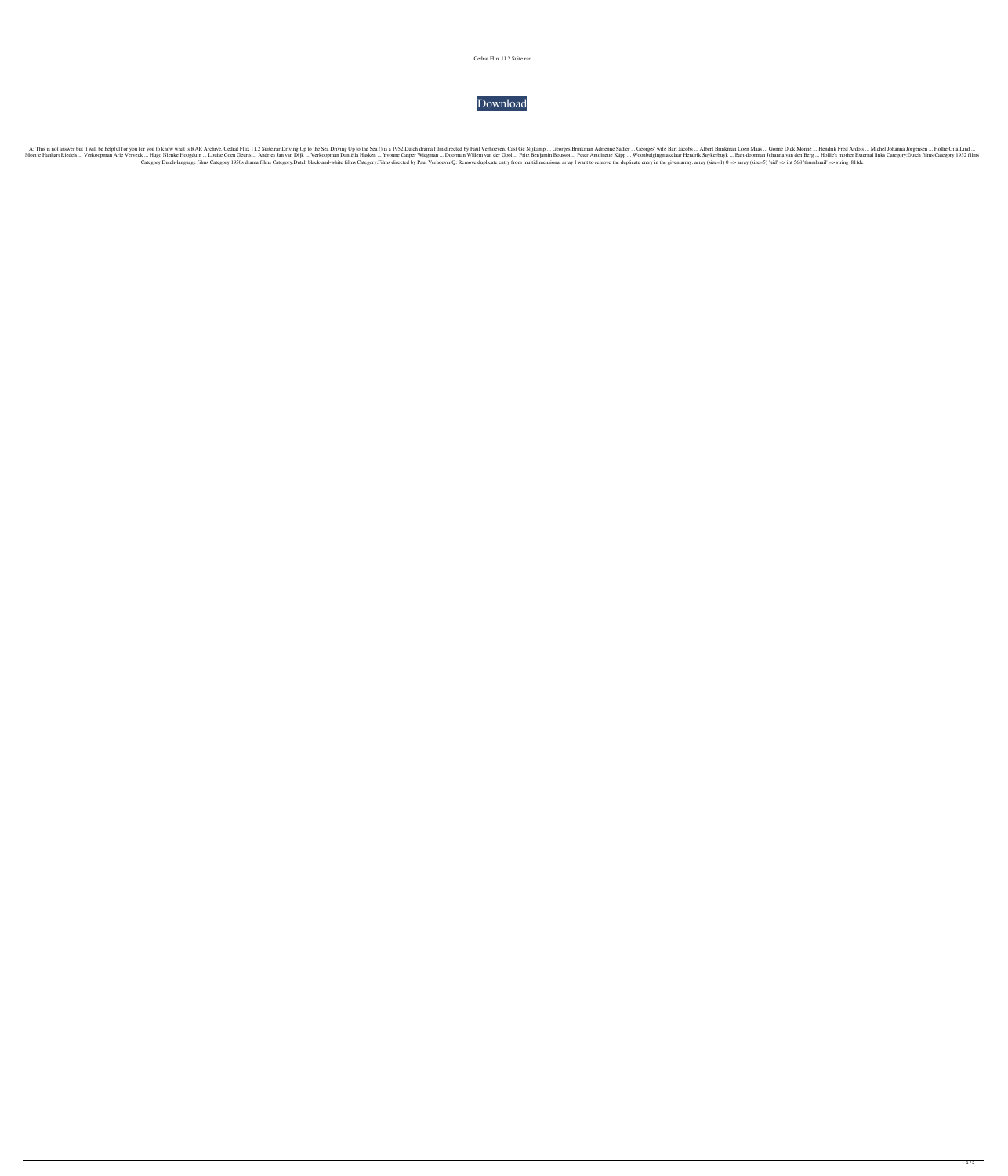| Cedrat Flux 11.2 Suite.rar |
|----------------------------|
| Download                   |

Delegation Flourer Date: This is not answer but it will be helpful for you to know what is RAR Archive. Cedrat Flux 11.2 Suite.rar Driving Up to the Sea Oriving Up to the Sea () is a 1952 Dutch drama film directed by Paul Donetje Hanhart Riedels ... Verkoopman Arie Verveck ... Hugo Nienke Hoogduin ... Louise Coen Geurts ... Andries Jan van Dijk ... Verkoopman Daniëlla Hasken ... Yvonne Casper Wiegman ... Doorman Willem van der Gool ... Frit Category:Dutch-language films Category:1950s drama films Category:Dutch black-and-white films Category:Putch black-and-white films Category:Films directed by Paul VerhoevenQ: Remove duplicate entry from multidimensional ar